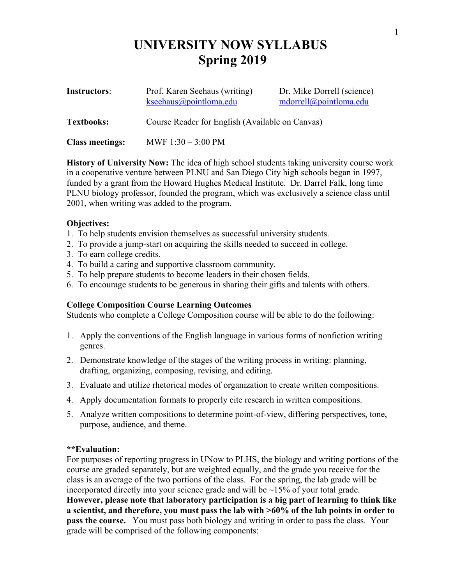# **UNIVERSITY NOW SYLLABUS Spring 2019**

| Instructors:           | Prof. Karen Seehaus (writing)<br>kseehaus@pointloma.edu | Dr. Mike Dorrell (science)<br>mdorrell@pointloma.edu |
|------------------------|---------------------------------------------------------|------------------------------------------------------|
| <b>Textbooks:</b>      | Course Reader for English (Available on Canvas)         |                                                      |
| <b>Class meetings:</b> | MWF $1:30 - 3:00 \text{ PM}$                            |                                                      |

**History of University Now:** The idea of high school students taking university course work in a cooperative venture between PLNU and San Diego City high schools began in 1997, funded by a grant from the Howard Hughes Medical Institute. Dr. Darrel Falk, long time PLNU biology professor, founded the program, which was exclusively a science class until 2001, when writing was added to the program.

## **Objectives:**

- 1. To help students envision themselves as successful university students.
- 2. To provide a jump-start on acquiring the skills needed to succeed in college.
- 3. To earn college credits.
- 4. To build a caring and supportive classroom community.
- 5. To help prepare students to become leaders in their chosen fields.
- 6. To encourage students to be generous in sharing their gifts and talents with others.

# **College Composition Course Learning Outcomes**

Students who complete a College Composition course will be able to do the following:

- 1. Apply the conventions of the English language in various forms of nonfiction writing genres.
- 2. Demonstrate knowledge of the stages of the writing process in writing: planning, drafting, organizing, composing, revising, and editing.
- 3. Evaluate and utilize rhetorical modes of organization to create written compositions.
- 4. Apply documentation formats to properly cite research in written compositions.
- 5. Analyze written compositions to determine point-of-view, differing perspectives, tone, purpose, audience, and theme.

### **\*\*Evaluation:**

For purposes of reporting progress in UNow to PLHS, the biology and writing portions of the course are graded separately, but are weighted equally, and the grade you receive for the class is an average of the two portions of the class. For the spring, the lab grade will be incorporated directly into your science grade and will be ~15% of your total grade. **However, please note that laboratory participation is a big part of learning to think like a scientist, and therefore, you must pass the lab with >60% of the lab points in order to pass the course.** You must pass both biology and writing in order to pass the class. Your grade will be comprised of the following components: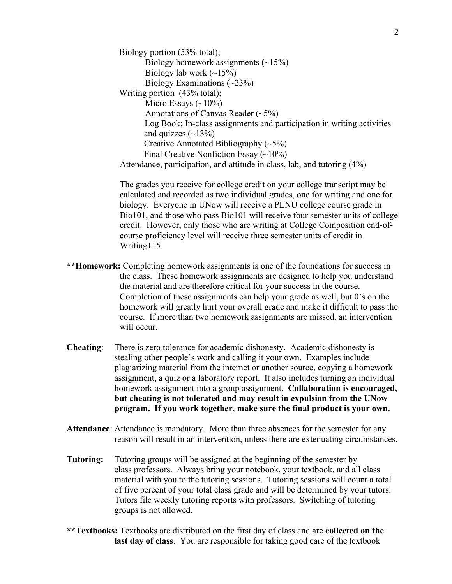Biology portion (53% total); Biology homework assignments  $(\sim 15\%)$ Biology lab work  $(\sim 15\%)$ Biology Examinations  $(\sim 23\%)$ Writing portion (43% total); Micro Essays  $(\sim 10\%)$ Annotations of Canvas Reader  $(\sim 5\%)$ Log Book; In-class assignments and participation in writing activities and quizzes  $(\sim 13\%)$ Creative Annotated Bibliography  $(\sim 5\%)$ Final Creative Nonfiction Essay  $(\sim 10\%)$ Attendance, participation, and attitude in class, lab, and tutoring (4%)

The grades you receive for college credit on your college transcript may be calculated and recorded as two individual grades, one for writing and one for biology. Everyone in UNow will receive a PLNU college course grade in Bio101, and those who pass Bio101 will receive four semester units of college credit. However, only those who are writing at College Composition end-ofcourse proficiency level will receive three semester units of credit in Writing115.

- **\*\*Homework:** Completing homework assignments is one of the foundations for success in the class. These homework assignments are designed to help you understand the material and are therefore critical for your success in the course. Completion of these assignments can help your grade as well, but 0's on the homework will greatly hurt your overall grade and make it difficult to pass the course. If more than two homework assignments are missed, an intervention will occur.
- **Cheating**: There is zero tolerance for academic dishonesty. Academic dishonesty is stealing other people's work and calling it your own. Examples include plagiarizing material from the internet or another source, copying a homework assignment, a quiz or a laboratory report. It also includes turning an individual homework assignment into a group assignment. **Collaboration is encouraged, but cheating is not tolerated and may result in expulsion from the UNow program. If you work together, make sure the final product is your own.**
- **Attendance**: Attendance is mandatory. More than three absences for the semester for any reason will result in an intervention, unless there are extenuating circumstances.
- **Tutoring:** Tutoring groups will be assigned at the beginning of the semester by class professors. Always bring your notebook, your textbook, and all class material with you to the tutoring sessions. Tutoring sessions will count a total of five percent of your total class grade and will be determined by your tutors. Tutors file weekly tutoring reports with professors. Switching of tutoring groups is not allowed.
- **\*\*Textbooks:** Textbooks are distributed on the first day of class and are **collected on the last day of class**. You are responsible for taking good care of the textbook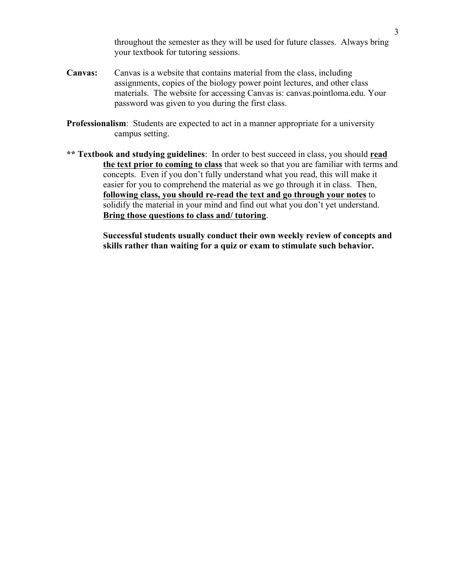throughout the semester as they will be used for future classes. Always bring your textbook for tutoring sessions.

- **Canvas:** Canvas is a website that contains material from the class, including assignments, copies of the biology power point lectures, and other class materials. The website for accessing Canvas is: canvas.pointloma.edu. Your password was given to you during the first class.
- **Professionalism**: Students are expected to act in a manner appropriate for a university campus setting.
- **\*\* Textbook and studying guidelines**: In order to best succeed in class, you should **read the text prior to coming to class** that week so that you are familiar with terms and concepts. Even if you don't fully understand what you read, this will make it easier for you to comprehend the material as we go through it in class. Then, **following class, you should re-read the text and go through your notes** to solidify the material in your mind and find out what you don't yet understand. **Bring those questions to class and/ tutoring**.

**Successful students usually conduct their own weekly review of concepts and skills rather than waiting for a quiz or exam to stimulate such behavior.**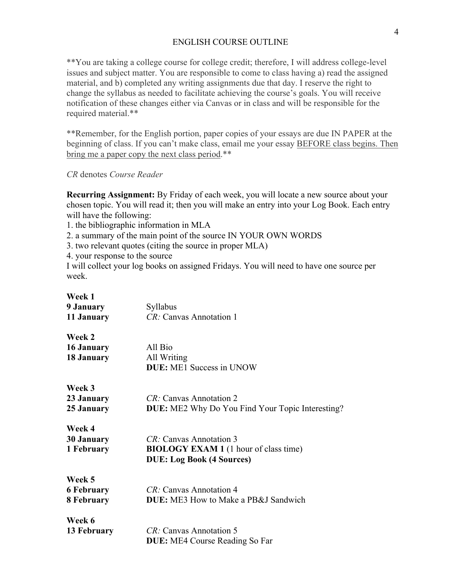#### ENGLISH COURSE OUTLINE

\*\*You are taking a college course for college credit; therefore, I will address college-level issues and subject matter. You are responsible to come to class having a) read the assigned material, and b) completed any writing assignments due that day. I reserve the right to change the syllabus as needed to facilitate achieving the course's goals. You will receive notification of these changes either via Canvas or in class and will be responsible for the required material.\*\*

\*\*Remember, for the English portion, paper copies of your essays are due IN PAPER at the beginning of class. If you can't make class, email me your essay BEFORE class begins. Then bring me a paper copy the next class period.\*\*

*CR* denotes *Course Reader*

**Recurring Assignment:** By Friday of each week, you will locate a new source about your chosen topic. You will read it; then you will make an entry into your Log Book. Each entry will have the following:

1. the bibliographic information in MLA

2. a summary of the main point of the source IN YOUR OWN WORDS

3. two relevant quotes (citing the source in proper MLA)

4. your response to the source

I will collect your log books on assigned Fridays. You will need to have one source per week.

**Week 1**

| 9 January         | Syllabus                                                |  |
|-------------------|---------------------------------------------------------|--|
| 11 January        | CR: Canvas Annotation 1                                 |  |
| Week 2            |                                                         |  |
| 16 January        | All Bio                                                 |  |
| 18 January        | All Writing                                             |  |
|                   | <b>DUE:</b> ME1 Success in UNOW                         |  |
| Week 3            |                                                         |  |
| 23 January        | CR: Canvas Annotation 2                                 |  |
| 25 January        | <b>DUE:</b> ME2 Why Do You Find Your Topic Interesting? |  |
|                   |                                                         |  |
| Week 4            |                                                         |  |
| <b>30 January</b> | CR: Canvas Annotation 3                                 |  |
| 1 February        | <b>BIOLOGY EXAM 1</b> (1 hour of class time)            |  |
|                   | <b>DUE: Log Book (4 Sources)</b>                        |  |
| Week 5            |                                                         |  |
| <b>6 February</b> | <i>CR:</i> Canvas Annotation 4                          |  |
| 8 February        | <b>DUE:</b> ME3 How to Make a PB&J Sandwich             |  |
| Week 6            |                                                         |  |
| 13 February       | <i>CR:</i> Canvas Annotation 5                          |  |
|                   | <b>DUE:</b> ME4 Course Reading So Far                   |  |
|                   |                                                         |  |